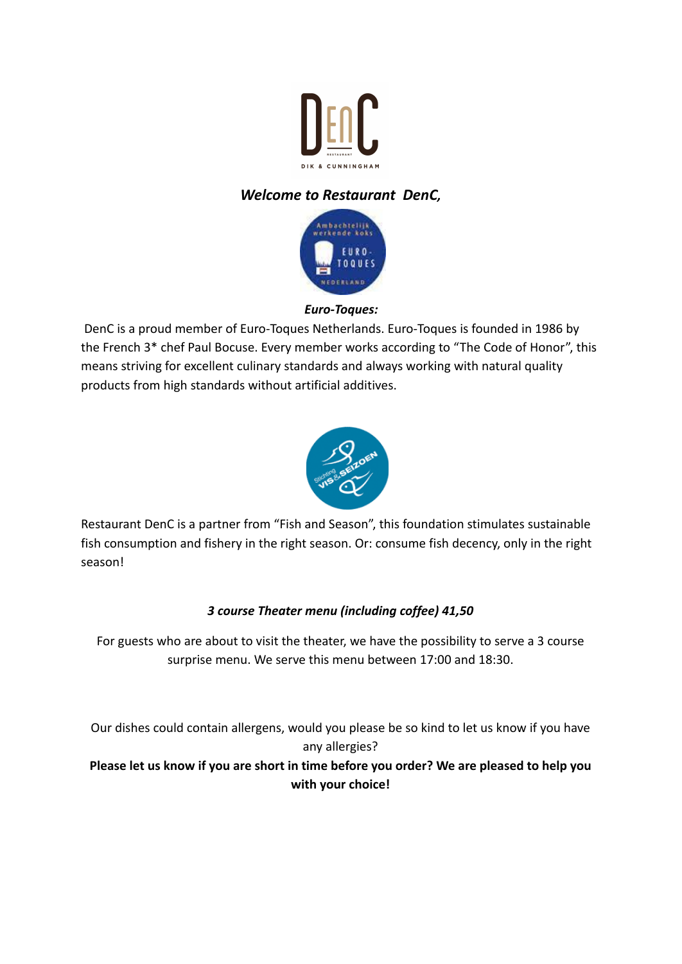

# *Welcome to Restaurant DenC,*



### *Euro-Toques:*

DenC is a proud member of Euro-Toques Netherlands. Euro-Toques is founded in 1986 by the French 3\* chef Paul Bocuse. Every member works according to "The Code of Honor", this means striving for excellent culinary standards and always working with natural quality products from high standards without artificial additives.



Restaurant DenC is a partner from "Fish and Season", this foundation stimulates sustainable fish consumption and fishery in the right season. Or: consume fish decency, only in the right season!

## *3 course Theater menu (including coffee) 41,50*

For guests who are about to visit the theater, we have the possibility to serve a 3 course surprise menu. We serve this menu between 17:00 and 18:30.

Our dishes could contain allergens, would you please be so kind to let us know if you have any allergies?

**Please let us know if you are short in time before you order? We are pleased to help you with your choice!**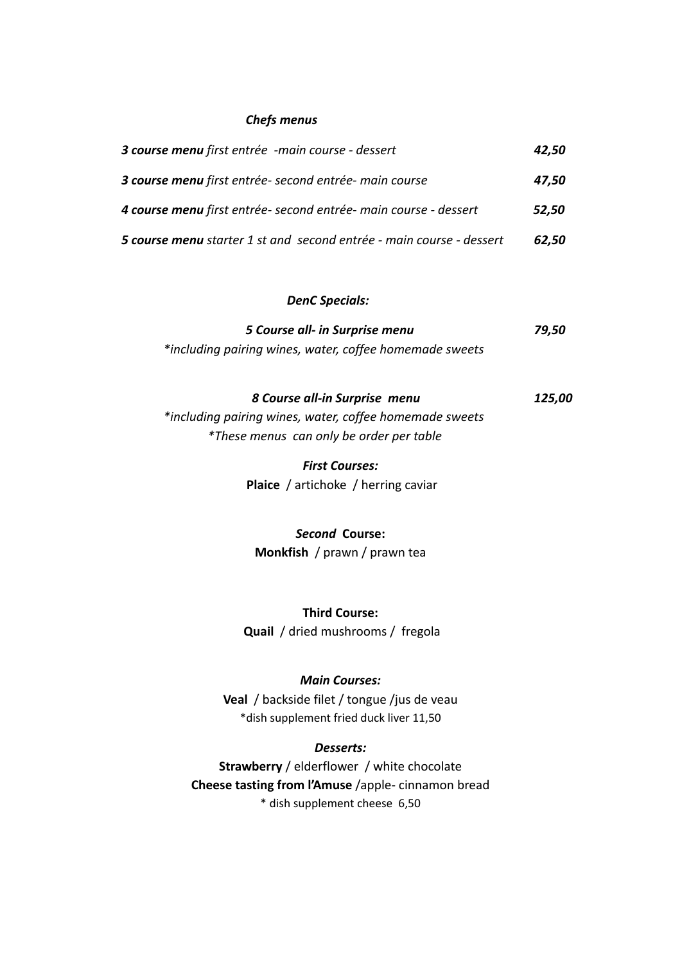#### *Chefs menus*

| 3 course menu first entrée -main course - dessert                    | 42,50 |
|----------------------------------------------------------------------|-------|
| 3 course menu first entrée-second entrée-main course                 | 47,50 |
| 4 course menu first entrée-second entrée-main course - dessert       | 52,50 |
| 5 course menu starter 1 st and second entrée - main course - dessert | 62,50 |

### *DenC Specials:*

| 5 Course all- in Surprise menu                          | 79,50 |  |
|---------------------------------------------------------|-------|--|
| *including pairing wines, water, coffee homemade sweets |       |  |

## *8 Course all-in Surprise menu 125,00*

*\*including pairing wines, water, coffee homemade sweets \*These menus can only be order per table*

> *First Courses:* **Plaice** / artichoke / herring caviar

*Second* **Course: Monkfish** / prawn / prawn tea

**Third Course: Quail** / dried mushrooms / fregola

#### *Main Courses:*

**Veal** / backside filet / tongue /jus de veau \*dish supplement fried duck liver 11,50

#### *Desserts:*

**Strawberry** / elderflower / white chocolate **Cheese tasting from l'Amuse** /apple- cinnamon bread \* dish supplement cheese 6,50